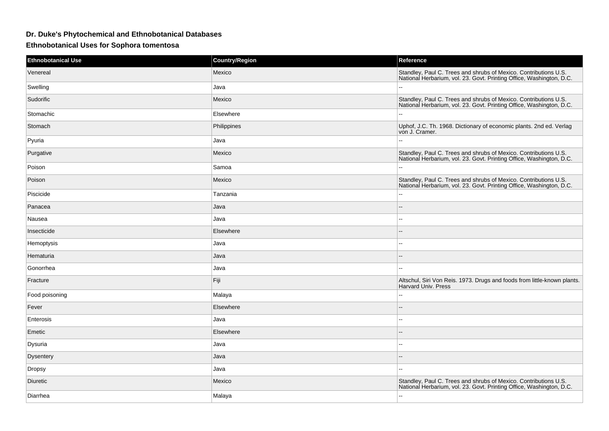## **Dr. Duke's Phytochemical and Ethnobotanical Databases**

**Ethnobotanical Uses for Sophora tomentosa**

| <b>Ethnobotanical Use</b> | <b>Country/Region</b> | Reference                                                                                                                                |
|---------------------------|-----------------------|------------------------------------------------------------------------------------------------------------------------------------------|
| Venereal                  | Mexico                | Standley, Paul C. Trees and shrubs of Mexico. Contributions U.S.<br>National Herbarium, vol. 23. Govt. Printing Office, Washington, D.C. |
| Swelling                  | Java                  |                                                                                                                                          |
| Sudorific                 | Mexico                | Standley, Paul C. Trees and shrubs of Mexico. Contributions U.S.<br>National Herbarium, vol. 23. Govt. Printing Office, Washington, D.C. |
| Stomachic                 | Elsewhere             | $\sim$                                                                                                                                   |
| Stomach                   | Philippines           | Uphof, J.C. Th. 1968. Dictionary of economic plants. 2nd ed. Verlag<br>von J. Cramer.                                                    |
| Pyuria                    | Java                  | $\mathbf{L}$                                                                                                                             |
| Purgative                 | Mexico                | Standley, Paul C. Trees and shrubs of Mexico. Contributions U.S.<br>National Herbarium, vol. 23. Govt. Printing Office, Washington, D.C. |
| Poison                    | Samoa                 | $\overline{\phantom{a}}$                                                                                                                 |
| Poison                    | Mexico                | Standley, Paul C. Trees and shrubs of Mexico. Contributions U.S.<br>National Herbarium, vol. 23. Govt. Printing Office, Washington, D.C. |
| Piscicide                 | Tanzania              | $\sim$                                                                                                                                   |
| Panacea                   | Java                  |                                                                                                                                          |
| Nausea                    | Java                  | ÷.                                                                                                                                       |
| Insecticide               | Elsewhere             | $\sim$                                                                                                                                   |
| Hemoptysis                | Java                  | $\overline{\phantom{a}}$                                                                                                                 |
| Hematuria                 | Java                  | $\overline{a}$                                                                                                                           |
| Gonorrhea                 | Java                  | $\sim$                                                                                                                                   |
| Fracture                  | Fiji                  | Altschul, Siri Von Reis. 1973. Drugs and foods from little-known plants.<br><b>Harvard Univ. Press</b>                                   |
| Food poisoning            | Malaya                | $\sim$                                                                                                                                   |
| Fever                     | Elsewhere             | $\overline{a}$                                                                                                                           |
| Enterosis                 | Java                  | $\sim$ $\sim$                                                                                                                            |
| Emetic                    | Elsewhere             |                                                                                                                                          |
| Dysuria                   | Java                  | $\overline{\phantom{a}}$                                                                                                                 |
| Dysentery                 | Java                  | $-$                                                                                                                                      |
| Dropsy                    | Java                  | $\overline{\phantom{a}}$                                                                                                                 |
| Diuretic                  | Mexico                | Standley, Paul C. Trees and shrubs of Mexico. Contributions U.S.<br>National Herbarium, vol. 23. Govt. Printing Office, Washington, D.C. |
| Diarrhea                  | Malaya                | $\overline{a}$                                                                                                                           |